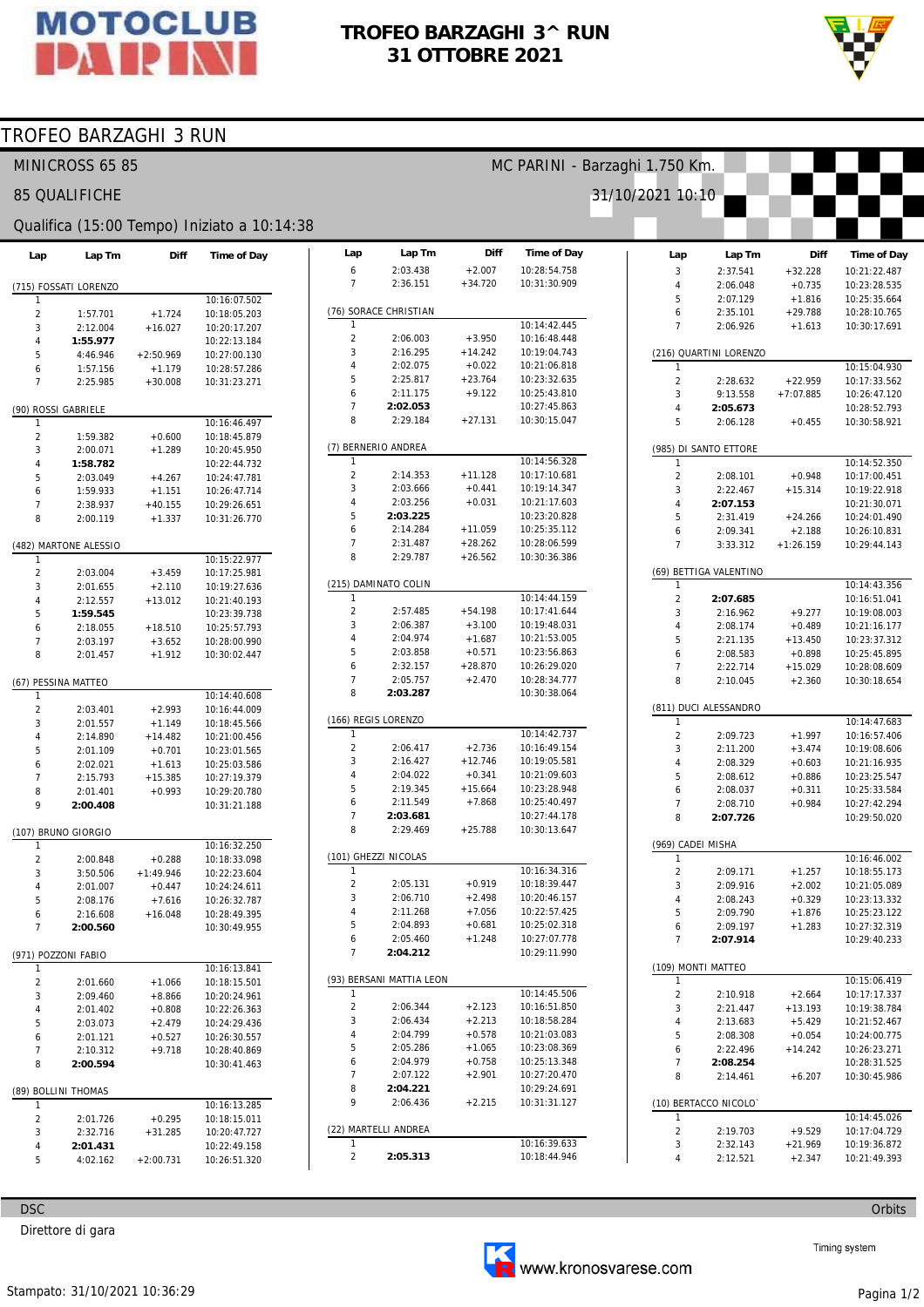

## TROFEO BARZAGHI 3^ RUN 31 OTTOBRE 2021



## TROFEO BARZAGHI 3 RUN

|                                       | MINICROSS 65 85       |                      |                                             |                                | MC PARINI - Barzaghi 1.750 Km. |                       |                              |                                |                        |                       |                                    |  |  |
|---------------------------------------|-----------------------|----------------------|---------------------------------------------|--------------------------------|--------------------------------|-----------------------|------------------------------|--------------------------------|------------------------|-----------------------|------------------------------------|--|--|
|                                       | <b>85 QUALIFICHE</b>  |                      |                                             |                                |                                |                       |                              | 31/10/2021 10:10               |                        |                       |                                    |  |  |
|                                       |                       |                      | Qualifica (15:00 Tempo) Iniziato a 10:14:38 |                                |                                |                       |                              |                                |                        |                       |                                    |  |  |
| Lap                                   | Lap Tm                | <b>Diff</b>          | <b>Time of Day</b>                          | Lap<br>6                       | Lap Tm<br>2:03.438             | Diff<br>$+2.007$      | Time of Day<br>10:28:54.758  | Lap<br>3                       | Lap Tm<br>2:37.541     | Diff<br>$+32.228$     | <b>Time of Day</b><br>10:21:22.487 |  |  |
|                                       | (715) FOSSATI LORENZO |                      |                                             | $\overline{7}$                 | 2:36.151                       | $+34.720$             | 10:31:30.909                 | 4                              | 2:06.048               | $+0.735$              | 10:23:28.535                       |  |  |
| 1                                     |                       |                      | 10:16:07.502                                |                                |                                |                       |                              | 5                              | 2:07.129               | $+1.816$              | 10:25:35.664                       |  |  |
| $\overline{2}$                        | 1:57.701              | $+1.724$             | 10:18:05.203                                |                                | (76) SORACE CHRISTIAN          |                       |                              | 6                              | 2:35.101               | $+29.788$             | 10:28:10.765                       |  |  |
| 3                                     | 2:12.004              | $+16.027$            | 10:20:17.207                                |                                |                                |                       | 10:14:42.445                 | $\overline{7}$                 | 2:06.926               | $+1.613$              | 10:30:17.691                       |  |  |
| $\overline{4}$                        | 1:55.977              |                      | 10:22:13.184                                | $\overline{c}$                 | 2:06.003                       | $+3.950$              | 10:16:48.448                 |                                |                        |                       |                                    |  |  |
| 5                                     | 4:46.946              | $+2:50.969$          | 10:27:00.130                                | 3<br>4                         | 2:16.295<br>2:02.075           | $+14.242$<br>$+0.022$ | 10:19:04.743<br>10:21:06.818 | $\mathbf{1}$                   | (216) QUARTINI LORENZO |                       |                                    |  |  |
| 6<br>$\overline{7}$                   | 1:57.156              | $+1.179$             | 10:28:57.286                                | 5                              | 2:25.817                       | $+23.764$             | 10:23:32.635                 | $\overline{\mathbf{c}}$        | 2:28.632               | $+22.959$             | 10:15:04.930<br>10:17:33.562       |  |  |
|                                       | 2:25.985              | $+30.008$            | 10:31:23.271                                | 6                              | 2:11.175                       | $+9.122$              | 10:25:43.810                 | 3                              | 9:13.558               | $+7:07.885$           | 10:26:47.120                       |  |  |
| (90) ROSSI GABRIELE                   |                       |                      |                                             | $\overline{7}$                 | 2:02.053                       |                       | 10:27:45.863                 | 4                              | 2:05.673               |                       | 10:28:52.793                       |  |  |
|                                       |                       |                      | 10:16:46.497                                | 8                              | 2:29.184                       | $+27.131$             | 10:30:15.047                 | 5                              | 2:06.128               | $+0.455$              | 10:30:58.921                       |  |  |
| $\overline{2}$                        | 1:59.382              | $+0.600$             | 10:18:45.879                                |                                |                                |                       |                              |                                |                        |                       |                                    |  |  |
| 3                                     | 2:00.071              | $+1.289$             | 10:20:45.950                                |                                | (7) BERNERIO ANDREA            |                       |                              |                                | (985) DI SANTO ETTORE  |                       |                                    |  |  |
| $\overline{4}$                        | 1:58.782              |                      | 10:22:44.732                                | -1                             |                                |                       | 10:14:56.328                 | 1                              |                        |                       | 10:14:52.350                       |  |  |
| 5                                     | 2:03.049              | $+4.267$             | 10:24:47.781                                | $\overline{c}$<br>3            | 2:14.353                       | $+11.128$             | 10:17:10.681                 | $\overline{2}$                 | 2:08.101               | $+0.948$              | 10:17:00.451                       |  |  |
| 6                                     | 1:59.933              | $+1.151$             | 10:26:47.714                                | $\overline{4}$                 | 2:03.666<br>2:03.256           | $+0.441$<br>$+0.031$  | 10:19:14.347<br>10:21:17.603 | 3<br>$\overline{4}$            | 2:22.467               | $+15.314$             | 10:19:22.918                       |  |  |
| $\overline{7}$                        | 2:38.937              | $+40.155$            | 10:29:26.651                                | 5                              | 2:03.225                       |                       | 10:23:20.828                 | 5                              | 2:07.153<br>2:31.419   | $+24.266$             | 10:21:30.071<br>10:24:01.490       |  |  |
| 8                                     | 2:00.119              | $+1.337$             | 10:31:26.770                                | 6                              | 2:14.284                       | $+11.059$             | 10:25:35.112                 | 6                              | 2:09.341               | $+2.188$              | 10:26:10.831                       |  |  |
|                                       | (482) MARTONE ALESSIO |                      |                                             | $\overline{7}$                 | 2:31.487                       | $+28.262$             | 10:28:06.599                 | $\overline{7}$                 | 3:33.312               | $+1:26.159$           | 10:29:44.143                       |  |  |
| $\mathbf{1}$                          |                       |                      | 10:15:22.977                                | 8                              | 2:29.787                       | $+26.562$             | 10:30:36.386                 |                                |                        |                       |                                    |  |  |
| $\sqrt{2}$                            | 2:03.004              | $+3.459$             | 10:17:25.981                                |                                |                                |                       |                              |                                | (69) BETTIGA VALENTINO |                       |                                    |  |  |
| 3                                     | 2:01.655              | $+2.110$             | 10:19:27.636                                |                                | (215) DAMINATO COLIN           |                       |                              | 1                              |                        |                       | 10:14:43.356                       |  |  |
| $\overline{4}$                        | 2:12.557              | $+13.012$            | 10:21:40.193                                | 1                              |                                |                       | 10:14:44.159                 | $\overline{c}$                 | 2:07.685               |                       | 10:16:51.041                       |  |  |
| 5                                     | 1:59.545              |                      | 10:23:39.738                                | $\overline{c}$                 | 2:57.485                       | $+54.198$             | 10:17:41.644                 | 3                              | 2:16.962               | $+9.277$              | 10:19:08.003                       |  |  |
| 6                                     | 2:18.055              | $+18.510$            | 10:25:57.793                                | 3                              | 2:06.387                       | $+3.100$              | 10:19:48.031                 | 4                              | 2:08.174               | $+0.489$              | 10:21:16.177                       |  |  |
| $\overline{7}$                        | 2:03.197              | $+3.652$             | 10:28:00.990                                | $\overline{4}$                 | 2:04.974                       | $+1.687$              | 10:21:53.005                 | 5                              | 2:21.135               | $+13.450$             | 10:23:37.312                       |  |  |
| 8                                     | 2:01.457              | $+1.912$             | 10:30:02.447                                | 5<br>6                         | 2:03.858<br>2:32.157           | $+0.571$<br>$+28.870$ | 10:23:56.863<br>10:26:29.020 | 6                              | 2:08.583               | $+0.898$              | 10:25:45.895                       |  |  |
|                                       |                       |                      |                                             | $\overline{7}$                 | 2:05.757                       | $+2.470$              | 10:28:34.777                 | $\overline{7}$<br>8            | 2:22.714<br>2:10.045   | $+15.029$<br>$+2.360$ | 10:28:08.609<br>10:30:18.654       |  |  |
| 1                                     | (67) PESSINA MATTEO   |                      | 10:14:40.608                                | 8                              | 2:03.287                       |                       | 10:30:38.064                 |                                |                        |                       |                                    |  |  |
| $\overline{2}$                        | 2:03.401              | $+2.993$             | 10:16:44.009                                |                                |                                |                       |                              |                                | (811) DUCI ALESSANDRO  |                       |                                    |  |  |
| 3                                     | 2:01.557              | $+1.149$             | 10:18:45.566                                |                                | (166) REGIS LORENZO            |                       |                              | 1                              |                        |                       | 10:14:47.683                       |  |  |
| $\overline{4}$                        | 2:14.890              | $+14.482$            | 10:21:00.456                                | $\mathbf{1}$                   |                                |                       | 10:14:42.737                 | $\overline{\mathbf{c}}$        | 2:09.723               | $+1.997$              | 10:16:57.406                       |  |  |
| 5                                     | 2:01.109              | $+0.701$             | 10:23:01.565                                | $\overline{c}$                 | 2:06.417                       | $+2.736$              | 10:16:49.154                 | 3                              | 2:11.200               | $+3.474$              | 10:19:08.606                       |  |  |
| 6                                     | 2:02.021              | $+1.613$             | 10:25:03.586                                | 3                              | 2:16.427                       | $+12.746$             | 10:19:05.581                 | 4                              | 2:08.329               | $+0.603$              | 10:21:16.935                       |  |  |
| $\overline{7}$                        | 2:15.793              | $+15.385$            | 10:27:19.379                                | $\overline{4}$                 | 2:04.022                       | $+0.341$              | 10:21:09.603                 | 5                              | 2:08.612               | $+0.886$              | 10:23:25.547                       |  |  |
| 8                                     | 2:01.401              | $+0.993$             | 10:29:20.780                                | 5                              | 2:19.345                       | $+15.664$             | 10:23:28.948                 | 6                              | 2:08.037               | $+0.311$              | 10:25:33.584                       |  |  |
| 9                                     | 2:00.408              |                      | 10:31:21.188                                | 6                              | 2:11.549                       | $+7.868$              | 10:25:40.497                 | $\overline{7}$                 | 2:08.710               | $+0.984$              | 10:27:42.294                       |  |  |
|                                       |                       |                      |                                             | $\overline{7}$<br>8            | 2:03.681<br>2:29.469           | $+25.788$             | 10:27:44.178<br>10:30:13.647 | 8                              | 2:07.726               |                       | 10:29:50.020                       |  |  |
| (107) BRUNO GIORGIO<br>$\overline{1}$ |                       |                      |                                             |                                |                                |                       |                              | (969) CADEI MISHA              |                        |                       |                                    |  |  |
| $\overline{2}$                        | 2:00.848              | $+0.288$             | 10:16:32.250<br>10:18:33.098                |                                | (101) GHEZZI NICOLAS           |                       |                              | 1                              |                        |                       | 10:16:46.002                       |  |  |
| 3                                     | 3:50.506              | $+1:49.946$          | 10:22:23.604                                | 1                              |                                |                       | 10:16:34.316                 | $\overline{c}$                 | 2:09.171               | $+1.257$              | 10:18:55.173                       |  |  |
| $\overline{4}$                        | 2:01.007              | $+0.447$             | 10:24:24.611                                | $\overline{c}$                 | 2:05.131                       | $+0.919$              | 10:18:39.447                 | 3                              | 2:09.916               | $+2.002$              | 10:21:05.089                       |  |  |
| 5                                     | 2:08.176              | $+7.616$             | 10:26:32.787                                | 3                              | 2:06.710                       | $+2.498$              | 10:20:46.157                 | $\overline{4}$                 | 2:08.243               | $+0.329$              | 10:23:13.332                       |  |  |
| 6                                     | 2:16.608              | $+16.048$            | 10:28:49.395                                | 4                              | 2:11.268                       | $+7.056$              | 10:22:57.425                 | 5                              | 2:09.790               | $+1.876$              | 10:25:23.122                       |  |  |
| $\overline{7}$                        | 2:00.560              |                      | 10:30:49.955                                | 5                              | 2:04.893                       | $+0.681$              | 10:25:02.318                 | 6                              | 2:09.197               | $+1.283$              | 10:27:32.319                       |  |  |
|                                       |                       |                      |                                             | 6                              | 2:05.460                       | $+1.248$              | 10:27:07.778                 | $\overline{7}$                 | 2:07.914               |                       | 10:29:40.233                       |  |  |
| (971) POZZONI FABIO                   |                       |                      |                                             | $\overline{7}$                 | 2:04.212                       |                       | 10:29:11.990                 |                                |                        |                       |                                    |  |  |
| 1                                     |                       |                      | 10:16:13.841                                |                                |                                |                       |                              |                                | (109) MONTI MATTEO     |                       |                                    |  |  |
| $\sqrt{2}$                            | 2:01.660              | $+1.066$             | 10:18:15.501                                | 1                              | (93) BERSANI MATTIA LEON       |                       | 10:14:45.506                 | $\mathbf{1}$<br>$\overline{c}$ |                        |                       | 10:15:06.419<br>10:17:17.337       |  |  |
| 3<br>$\overline{4}$                   | 2:09.460              | $+8.866$             | 10:20:24.961                                | $\overline{2}$                 | 2:06.344                       | $+2.123$              | 10:16:51.850                 | 3                              | 2:10.918<br>2:21.447   | $+2.664$<br>$+13.193$ | 10:19:38.784                       |  |  |
| 5                                     | 2:01.402<br>2:03.073  | $+0.808$<br>$+2.479$ | 10:22:26.363<br>10:24:29.436                | 3                              | 2:06.434                       | $+2.213$              | 10:18:58.284                 | 4                              | 2:13.683               | $+5.429$              | 10:21:52.467                       |  |  |
| 6                                     | 2:01.121              | $+0.527$             | 10:26:30.557                                | 4                              | 2:04.799                       | $+0.578$              | 10:21:03.083                 | 5                              | 2:08.308               | $+0.054$              | 10:24:00.775                       |  |  |
| $\overline{7}$                        | 2:10.312              | $+9.718$             | 10:28:40.869                                | 5                              | 2:05.286                       | $+1.065$              | 10:23:08.369                 | 6                              | 2:22.496               | $+14.242$             | 10:26:23.271                       |  |  |
| 8                                     | 2:00.594              |                      | 10:30:41.463                                | 6                              | 2:04.979                       | $+0.758$              | 10:25:13.348                 | $\overline{7}$                 | 2:08.254               |                       | 10:28:31.525                       |  |  |
|                                       |                       |                      |                                             | $\overline{7}$                 | 2:07.122                       | $+2.901$              | 10:27:20.470                 | 8                              | 2:14.461               | $+6.207$              | 10:30:45.986                       |  |  |
|                                       | (89) BOLLINI THOMAS   |                      |                                             | 8                              | 2:04.221                       |                       | 10:29:24.691                 |                                |                        |                       |                                    |  |  |
| $\mathbf{1}$                          |                       |                      | 10:16:13.285                                | 9                              | 2:06.436                       | $+2.215$              | 10:31:31.127                 |                                | (10) BERTACCO NICOLO   |                       |                                    |  |  |
| $\overline{2}$                        | 2:01.726              | $+0.295$             | 10:18:15.011                                |                                |                                |                       |                              | 1                              |                        |                       | 10:14:45.026                       |  |  |
| 3                                     | 2:32.716              | $+31.285$            | 10:20:47.727                                |                                | (22) MARTELLI ANDREA           |                       |                              | $\overline{c}$                 | 2:19.703               | $+9.529$              | 10:17:04.729                       |  |  |
| $\overline{4}$                        | 2:01.431              |                      | 10:22:49.158                                | $\mathbf{1}$<br>$\overline{2}$ | 2:05.313                       |                       | 10:16:39.633<br>10:18:44.946 | 3<br>4                         | 2:32.143               | $+21.969$             | 10:19:36.872                       |  |  |
| 5                                     | 4:02.162              | $+2:00.731$          | 10:26:51.320                                |                                |                                |                       |                              |                                | 2:12.521               | $+2.347$              | 10:21:49.393                       |  |  |
|                                       |                       |                      |                                             |                                |                                |                       |                              |                                |                        |                       |                                    |  |  |

**DSC** 

Direttore di gara





Orbits